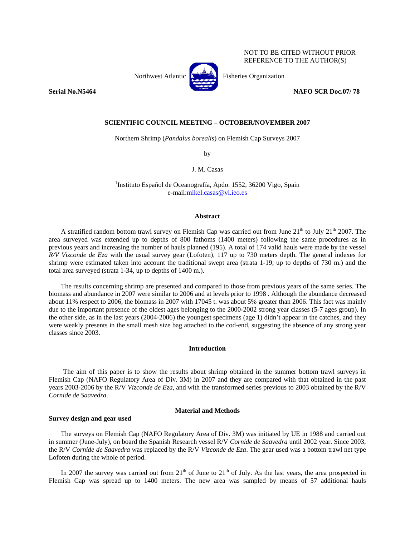NOT TO BE CITED WITHOUT PRIOR REFERENCE TO THE AUTHOR(S)



Northwest Atlantic **No. 2008** Fisheries Organization

**Serial No.N5464** NAFO SCR Doc.07/ 78

# **SCIENTIFIC COUNCIL MEETING – OCTOBER/NOVEMBER 2007**

Northern Shrimp (*Pandalus borealis*) on Flemish Cap Surveys 2007

by

## J. M. Casas

<sup>1</sup>Instituto Español de Oceanografía, Apdo. 1552, 36200 Vigo, Spain e-mail:mikel.casas@vi.ieo.es

### **Abstract**

A stratified random bottom trawl survey on Flemish Cap was carried out from June  $21<sup>th</sup>$  to July  $21<sup>th</sup>$  2007. The area surveyed was extended up to depths of 800 fathoms (1400 meters) following the same procedures as in previous years and increasing the number of hauls planned (195). A total of 174 valid hauls were made by the vessel *R/V Vizconde de Eza* with the usual survey gear (Lofoten)*,* 117 up to 730 meters depth. The general indexes for shrimp were estimated taken into account the traditional swept area (strata 1-19, up to depths of 730 m.) and the total area surveyed (strata 1-34, up to depths of 1400 m.).

The results concerning shrimp are presented and compared to those from previous years of the same series. The biomass and abundance in 2007 were similar to 2006 and at levels prior to 1998 . Although the abundance decreased about 11% respect to 2006, the biomass in 2007 with 17045 t. was about 5% greater than 2006. This fact was mainly due to the important presence of the oldest ages belonging to the 2000-2002 strong year classes (5-7 ages group). In the other side, as in the last years (2004-2006) the youngest specimens (age 1) didn't appear in the catches, and they were weakly presents in the small mesh size bag attached to the cod-end, suggesting the absence of any strong year classes since 2003.

## **Introduction**

The aim of this paper is to show the results about shrimp obtained in the summer bottom trawl surveys in Flemish Cap (NAFO Regulatory Area of Div. 3M) in 2007 and they are compared with that obtained in the past years 2003-2006 by the R/V *Vizconde de Eza*, and with the transformed series previous to 2003 obtained by the R/V *Cornide de Saavedra*.

## **Material and Methods**

#### **Survey design and gear used**

The surveys on Flemish Cap (NAFO Regulatory Area of Div. 3M) was initiated by UE in 1988 and carried out in summer (June-July), on board the Spanish Research vessel R/V *Cornide de Saavedra* until 2002 year. Since 2003, the R/V *Cornide de Saavedra* was replaced by the R/V *Vizconde de Eza*. The gear used was a bottom trawl net type Lofoten during the whole of period.

In 2007 the survey was carried out from  $21<sup>th</sup>$  of June to  $21<sup>th</sup>$  of July. As the last years, the area prospected in Flemish Cap was spread up to 1400 meters. The new area was sampled by means of 57 additional hauls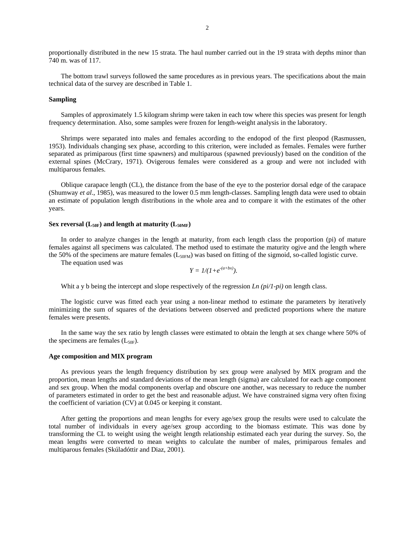proportionally distributed in the new 15 strata. The haul number carried out in the 19 strata with depths minor than 740 m. was of 117.

The bottom trawl surveys followed the same procedures as in previous years. The specifications about the main technical data of the survey are described in Table 1.

## **Sampling**

Samples of approximately 1.5 kilogram shrimp were taken in each tow where this species was present for length frequency determination. Also, some samples were frozen for length-weight analysis in the laboratory.

Shrimps were separated into males and females according to the endopod of the first pleopod (Rasmussen, 1953). Individuals changing sex phase, according to this criterion, were included as females. Females were further separated as primiparous (first time spawners) and multiparous (spawned previously) based on the condition of the external spines (McCrary, 1971). Ovigerous females were considered as a group and were not included with multiparous females.

Oblique carapace length (CL), the distance from the base of the eye to the posterior dorsal edge of the carapace (Shumway *et al*., 1985), was measured to the lower 0.5 mm length-classes. Sampling length data were used to obtain an estimate of population length distributions in the whole area and to compare it with the estimates of the other years.

## Sex reversal  $(L_{50F})$  and length at maturity  $(L_{50MF})$

In order to analyze changes in the length at maturity, from each length class the proportion (pi) of mature females against all specimens was calculated. The method used to estimate the maturity ogive and the length where the 50% of the specimens are mature females ( $L_{50FM}$ ) was based on fitting of the sigmoid, so-called logistic curve.

The equation used was

$$
Y = 1/(1+e^{-(a+bx)}).
$$

Whit a y b being the intercept and slope respectively of the regression *Ln (pi/1-pi)* on length class.

The logistic curve was fitted each year using a non-linear method to estimate the parameters by iteratively minimizing the sum of squares of the deviations between observed and predicted proportions where the mature females were presents.

In the same way the sex ratio by length classes were estimated to obtain the length at sex change where 50% of the specimens are females  $(L_{50F})$ .

### **Age composition and MIX program**

As previous years the length frequency distribution by sex group were analysed by MIX program and the proportion, mean lengths and standard deviations of the mean length (sigma) are calculated for each age component and sex group. When the modal components overlap and obscure one another, was necessary to reduce the number of parameters estimated in order to get the best and reasonable adjust. We have constrained sigma very often fixing the coefficient of variation (CV) at 0.045 or keeping it constant.

After getting the proportions and mean lengths for every age/sex group the results were used to calculate the total number of individuals in every age/sex group according to the biomass estimate. This was done by transforming the CL to weight using the weight length relationship estimated each year during the survey. So, the mean lengths were converted to mean weights to calculate the number of males, primiparous females and multiparous females (Skúladóttir and Diaz, 2001).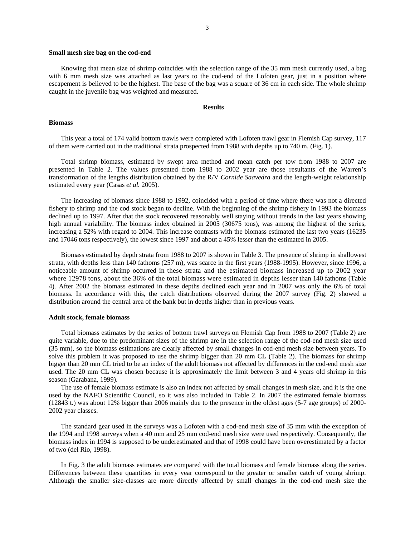#### **Small mesh size bag on the cod-end**

Knowing that mean size of shrimp coincides with the selection range of the 35 mm mesh currently used, a bag with 6 mm mesh size was attached as last years to the cod-end of the Lofoten gear, just in a position where escapement is believed to be the highest. The base of the bag was a square of 36 cm in each side. The whole shrimp caught in the juvenile bag was weighted and measured.

## **Results**

#### **Biomass**

This year a total of 174 valid bottom trawls were completed with Lofoten trawl gear in Flemish Cap survey, 117 of them were carried out in the traditional strata prospected from 1988 with depths up to 740 m. (Fig. 1).

Total shrimp biomass, estimated by swept area method and mean catch per tow from 1988 to 2007 are presented in Table 2. The values presented from 1988 to 2002 year are those resultants of the Warren's transformation of the lengths distribution obtained by the R/V *Cornide Saavedra* and the length-weight relationship estimated every year (Casas *et al.* 2005).

The increasing of biomass since 1988 to 1992, coincided with a period of time where there was not a directed fishery to shrimp and the cod stock began to decline. With the beginning of the shrimp fishery in 1993 the biomass declined up to 1997. After that the stock recovered reasonably well staying without trends in the last years showing high annual variability. The biomass index obtained in 2005 (30675 tons), was among the highest of the series, increasing a 52% with regard to 2004. This increase contrasts with the biomass estimated the last two years (16235 and 17046 tons respectively), the lowest since 1997 and about a 45% lesser than the estimated in 2005.

Biomass estimated by depth strata from 1988 to 2007 is shown in Table 3. The presence of shrimp in shallowest strata, with depths less than 140 fathoms (257 m), was scarce in the first years (1988-1995). However, since 1996, a noticeable amount of shrimp occurred in these strata and the estimated biomass increased up to 2002 year where 12978 tons, about the 36% of the total biomass were estimated in depths lesser than 140 fathoms (Table 4). After 2002 the biomass estimated in these depths declined each year and in 2007 was only the 6% of total biomass. In accordance with this, the catch distributions observed during the 2007 survey (Fig. 2) showed a distribution around the central area of the bank but in depths higher than in previous years.

#### **Adult stock, female biomass**

Total biomass estimates by the series of bottom trawl surveys on Flemish Cap from 1988 to 2007 (Table 2) are quite variable, due to the predominant sizes of the shrimp are in the selection range of the cod-end mesh size used (35 mm), so the biomass estimations are clearly affected by small changes in cod-end mesh size between years. To solve this problem it was proposed to use the shrimp bigger than 20 mm CL (Table 2). The biomass for shrimp bigger than 20 mm CL tried to be an index of the adult biomass not affected by differences in the cod-end mesh size used. The 20 mm CL was chosen because it is approximately the limit between 3 and 4 years old shrimp in this season (Garabana, 1999).

The use of female biomass estimate is also an index not affected by small changes in mesh size, and it is the one used by the NAFO Scientific Council, so it was also included in Table 2. In 2007 the estimated female biomass (12843 t.) was about 12% bigger than 2006 mainly due to the presence in the oldest ages (5-7 age groups) of 2000- 2002 year classes.

The standard gear used in the surveys was a Lofoten with a cod-end mesh size of 35 mm with the exception of the 1994 and 1998 surveys when a 40 mm and 25 mm cod-end mesh size were used respectively. Consequently, the biomass index in 1994 is supposed to be underestimated and that of 1998 could have been overestimated by a factor of two (del Río, 1998).

In Fig. 3 the adult biomass estimates are compared with the total biomass and female biomass along the series. Differences between these quantities in every year correspond to the greater or smaller catch of young shrimp. Although the smaller size-classes are more directly affected by small changes in the cod-end mesh size the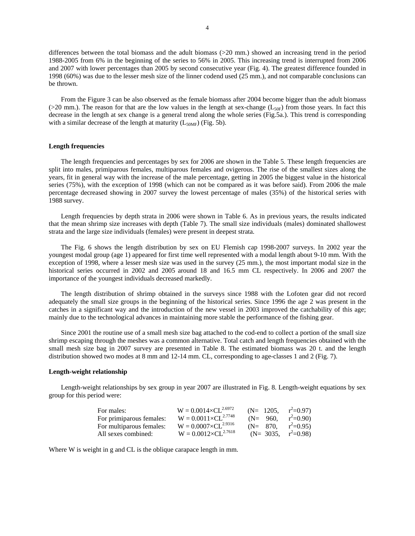differences between the total biomass and the adult biomass (>20 mm.) showed an increasing trend in the period 1988-2005 from 6% in the beginning of the series to 56% in 2005. This increasing trend is interrupted from 2006 and 2007 with lower percentages than 2005 by second consecutive year (Fig. 4). The greatest difference founded in 1998 (60%) was due to the lesser mesh size of the linner codend used (25 mm.), and not comparable conclusions can be thrown.

From the Figure 3 can be also observed as the female biomass after 2004 become bigger than the adult biomass ( $>20$  mm.). The reason for that are the low values in the length at sex-change ( $L_{50F}$ ) from those years. In fact this decrease in the length at sex change is a general trend along the whole series (Fig.5a.). This trend is corresponding with a similar decrease of the length at maturity  $(L_{50MF})$  (Fig. 5b).

## **Length frequencies**

The length frequencies and percentages by sex for 2006 are shown in the Table 5. These length frequencies are split into males, primiparous females, multiparous females and ovigerous. The rise of the smallest sizes along the years, fit in general way with the increase of the male percentage, getting in 2005 the biggest value in the historical series (75%), with the exception of 1998 (which can not be compared as it was before said). From 2006 the male percentage decreased showing in 2007 survey the lowest percentage of males (35%) of the historical series with 1988 survey.

Length frequencies by depth strata in 2006 were shown in Table 6. As in previous years, the results indicated that the mean shrimp size increases with depth (Table 7). The small size individuals (males) dominated shallowest strata and the large size individuals (females) were present in deepest strata.

The Fig. 6 shows the length distribution by sex on EU Flemish cap 1998-2007 surveys. In 2002 year the youngest modal group (age 1) appeared for first time well represented with a modal length about 9-10 mm. With the exception of 1998, where a lesser mesh size was used in the survey (25 mm.), the most important modal size in the historical series occurred in 2002 and 2005 around 18 and 16.5 mm CL respectively. In 2006 and 2007 the importance of the youngest individuals decreased markedly.

The length distribution of shrimp obtained in the surveys since 1988 with the Lofoten gear did not record adequately the small size groups in the beginning of the historical series. Since 1996 the age 2 was present in the catches in a significant way and the introduction of the new vessel in 2003 improved the catchability of this age; mainly due to the technological advances in maintaining more stable the performance of the fishing gear.

Since 2001 the routine use of a small mesh size bag attached to the cod-end to collect a portion of the small size shrimp escaping through the meshes was a common alternative. Total catch and length frequencies obtained with the small mesh size bag in 2007 survey are presented in Table 8. The estimated biomass was 20 t. and the length distribution showed two modes at 8 mm and 12-14 mm. CL, corresponding to age-classes 1 and 2 (Fig. 7).

## **Length-weight relationship**

Length-weight relationships by sex group in year 2007 are illustrated in Fig. 8. Length-weight equations by sex group for this period were:

| For males:               | $W = 0.0014 \times CL^{2.6972}$ | $(N= 1205, r^2=0.97)$  |            |
|--------------------------|---------------------------------|------------------------|------------|
| For primiparous females: | $W = 0.0011 \times CL^{2.7748}$ | $(N = 960)$ .          | $r^2=0.90$ |
| For multiparous females: | $W = 0.0007 \times CL^{2.9316}$ | $(N = 870.$            | $r^2=0.95$ |
| All sexes combined:      | $W = 0.0012 \times CL^{2.7618}$ | (N= 3035, $r^2=0.98$ ) |            |

Where W is weight in g and CL is the oblique carapace length in mm.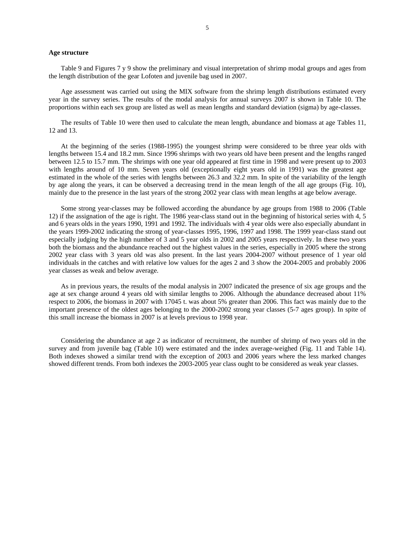#### **Age structure**

Table 9 and Figures 7 y 9 show the preliminary and visual interpretation of shrimp modal groups and ages from the length distribution of the gear Lofoten and juvenile bag used in 2007.

Age assessment was carried out using the MIX software from the shrimp length distributions estimated every year in the survey series. The results of the modal analysis for annual surveys 2007 is shown in Table 10. The proportions within each sex group are listed as well as mean lengths and standard deviation (sigma) by age-classes.

The results of Table 10 were then used to calculate the mean length, abundance and biomass at age Tables 11, 12 and 13.

At the beginning of the series (1988-1995) the youngest shrimp were considered to be three year olds with lengths between 15.4 and 18.2 mm. Since 1996 shrimps with two years old have been present and the lengths ranged between 12.5 to 15.7 mm. The shrimps with one year old appeared at first time in 1998 and were present up to 2003 with lengths around of 10 mm. Seven years old (exceptionally eight years old in 1991) was the greatest age estimated in the whole of the series with lengths between 26.3 and 32.2 mm. In spite of the variability of the length by age along the years, it can be observed a decreasing trend in the mean length of the all age groups (Fig. 10), mainly due to the presence in the last years of the strong 2002 year class with mean lengths at age below average.

Some strong year-classes may be followed according the abundance by age groups from 1988 to 2006 (Table 12) if the assignation of the age is right. The 1986 year-class stand out in the beginning of historical series with 4, 5 and 6 years olds in the years 1990, 1991 and 1992. The individuals with 4 year olds were also especially abundant in the years 1999-2002 indicating the strong of year-classes 1995, 1996, 1997 and 1998. The 1999 year-class stand out especially judging by the high number of 3 and 5 year olds in 2002 and 2005 years respectively. In these two years both the biomass and the abundance reached out the highest values in the series, especially in 2005 where the strong 2002 year class with 3 years old was also present. In the last years 2004-2007 without presence of 1 year old individuals in the catches and with relative low values for the ages 2 and 3 show the 2004-2005 and probably 2006 year classes as weak and below average.

As in previous years, the results of the modal analysis in 2007 indicated the presence of six age groups and the age at sex change around 4 years old with similar lengths to 2006. Although the abundance decreased about 11% respect to 2006, the biomass in 2007 with 17045 t. was about 5% greater than 2006. This fact was mainly due to the important presence of the oldest ages belonging to the 2000-2002 strong year classes (5-7 ages group). In spite of this small increase the biomass in 2007 is at levels previous to 1998 year.

Considering the abundance at age 2 as indicator of recruitment, the number of shrimp of two years old in the survey and from juvenile bag (Table 10) were estimated and the index average-weighed (Fig. 11 and Table 14). Both indexes showed a similar trend with the exception of 2003 and 2006 years where the less marked changes showed different trends. From both indexes the 2003-2005 year class ought to be considered as weak year classes.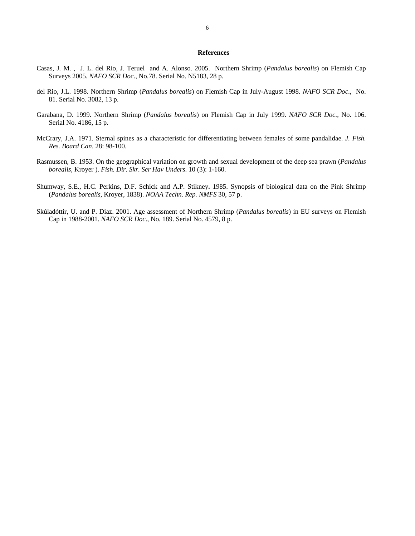## **References**

- Casas, J. M. , J. L. del Rio, J. Teruel and A. Alonso. 2005. Northern Shrimp (*Pandalus borealis*) on Flemish Cap Surveys 2005. *NAFO SCR Doc*., No.78. Serial No. N5183, 28 p.
- del Rio, J.L. 1998. Northern Shrimp (*Pandalus borealis*) on Flemish Cap in July-August 1998. *NAFO SCR Doc*., No. 81. Serial No. 3082, 13 p.
- Garabana, D. 1999. Northern Shrimp (*Pandalus borealis*) on Flemish Cap in July 1999. *NAFO SCR Doc*., No. 106. Serial No. 4186, 15 p.
- McCrary, J.A. 1971. Sternal spines as a characteristic for differentiating between females of some pandalidae. *J. Fish. Res. Board Can*. 28: 98-100.
- Rasmussen, B. 1953. On the geographical variation on growth and sexual development of the deep sea prawn (*Pandalus borealis*, Kroyer ). *Fish. Dir. Skr. Ser Hav Unders*. 10 (3): 1-160.
- Shumway, S.E., H.C. Perkins, D.F. Schick and A.P. Stikney**.** 1985. Synopsis of biological data on the Pink Shrimp (*Pandalus borealis*, Kroyer, 1838). *NOAA Techn. Rep. NMFS* 30, 57 p.
- Skúladóttir, U. and P. Diaz. 2001. Age assessment of Northern Shrimp (*Pandalus borealis*) in EU surveys on Flemish Cap in 1988-2001. *NAFO SCR Doc*., No. 189. Serial No. 4579, 8 p.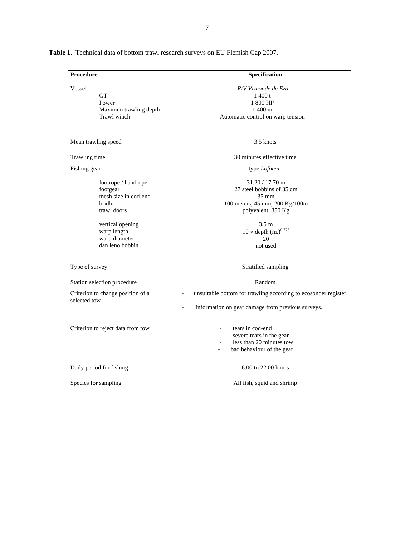| Procedure                                                                                                           | Specification                                                                                                                                                                   |
|---------------------------------------------------------------------------------------------------------------------|---------------------------------------------------------------------------------------------------------------------------------------------------------------------------------|
| Vessel<br><b>GT</b><br>Power<br>Maximun trawling depth<br>Trawl winch                                               | R/V Vizconde de Eza<br>1400 t<br>1 800 HP<br>$1400 \text{ m}$<br>Automatic control on warp tension                                                                              |
| Mean trawling speed                                                                                                 | 3.5 knots                                                                                                                                                                       |
| Trawling time                                                                                                       | 30 minutes effective time                                                                                                                                                       |
| Fishing gear                                                                                                        | type Lofoten                                                                                                                                                                    |
| footrope / handrope<br>footgear<br>mesh size in cod-end<br>bridle<br>trawl doors<br>vertical opening<br>warp length | $31.20 / 17.70$ m<br>27 steel bobbins of 35 cm<br>$35 \text{ mm}$<br>100 meters, 45 mm, 200 Kg/100m<br>polyvalent, 850 Kg<br>3.5 <sub>m</sub><br>$10 \times depth (m.)^{0.775}$ |
| warp diameter<br>dan leno bobbin                                                                                    | 20<br>not used                                                                                                                                                                  |
| Type of survey                                                                                                      | Stratified sampling                                                                                                                                                             |
| Station selection procedure                                                                                         | Random                                                                                                                                                                          |
| Criterion to change position of a<br>selected tow                                                                   | unsuitable bottom for trawling according to ecosonder register.<br>$\overline{\phantom{a}}$<br>Information on gear damage from previous surveys.                                |
| Criterion to reject data from tow                                                                                   | tears in cod-end<br>severe tears in the gear<br>less than 20 minutes tow<br>bad behaviour of the gear<br>$\overline{a}$                                                         |
| Daily period for fishing                                                                                            | 6.00 to 22.00 hours                                                                                                                                                             |
| Species for sampling                                                                                                | All fish, squid and shrimp                                                                                                                                                      |

**Table 1**. Technical data of bottom trawl research surveys on EU Flemish Cap 2007.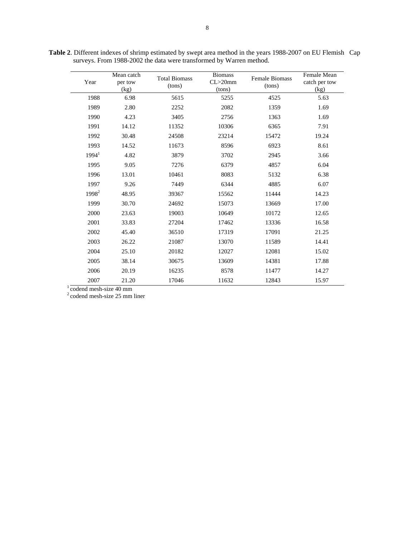| Year                   | Mean catch<br>per tow<br>(kg) | <b>Total Biomass</b><br>(tons) | <b>Biomass</b><br>$CL > 20$ mm<br>(tons) | <b>Female Biomass</b><br>(tons) | Female Mean<br>catch per tow<br>(kg) |
|------------------------|-------------------------------|--------------------------------|------------------------------------------|---------------------------------|--------------------------------------|
| 1988                   | 6.98                          | 5615                           | 5255                                     | 4525                            | 5.63                                 |
| 1989                   | 2.80                          | 2252                           | 2082                                     | 1359                            | 1.69                                 |
| 1990                   | 4.23                          | 3405                           | 2756                                     | 1363                            | 1.69                                 |
| 1991                   | 14.12                         | 11352                          | 10306                                    | 6365                            | 7.91                                 |
| 1992                   | 30.48                         | 24508                          | 23214                                    | 15472                           | 19.24                                |
| 1993                   | 14.52                         | 11673                          | 8596                                     | 6923                            | 8.61                                 |
| 1994 <sup>1</sup>      | 4.82                          | 3879                           | 3702                                     | 2945                            | 3.66                                 |
| 1995                   | 9.05                          | 7276                           | 6379                                     | 4857                            | 6.04                                 |
| 1996                   | 13.01                         | 10461                          | 8083                                     | 5132                            | 6.38                                 |
| 1997                   | 9.26                          | 7449                           | 6344                                     | 4885                            | 6.07                                 |
| 1998 <sup>2</sup>      | 48.95                         | 39367                          | 15562                                    | 11444                           | 14.23                                |
| 1999                   | 30.70                         | 24692                          | 15073                                    | 13669                           | 17.00                                |
| 2000                   | 23.63                         | 19003                          | 10649                                    | 10172                           | 12.65                                |
| 2001                   | 33.83                         | 27204                          | 17462                                    | 13336                           | 16.58                                |
| 2002                   | 45.40                         | 36510                          | 17319                                    | 17091                           | 21.25                                |
| 2003                   | 26.22                         | 21087                          | 13070                                    | 11589                           | 14.41                                |
| 2004                   | 25.10                         | 20182                          | 12027                                    | 12081                           | 15.02                                |
| 2005                   | 38.14                         | 30675                          | 13609                                    | 14381                           | 17.88                                |
| 2006                   | 20.19                         | 16235                          | 8578                                     | 11477                           | 14.27                                |
| 2007                   | 21.20                         | 17046                          | 11632                                    | 12843                           | 15.97                                |
| codend mesh-size 40 mm |                               |                                |                                          |                                 |                                      |

**Table 2**. Different indexes of shrimp estimated by swept area method in the years 1988-2007 on EU Flemish Cap surveys. From 1988-2002 the data were transformed by Warren method.

2 codend mesh-size 25 mm liner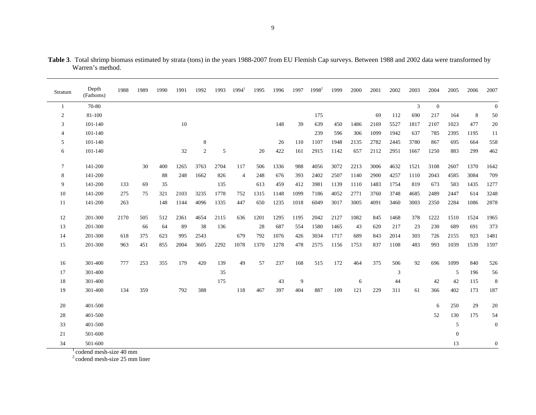| Stratum        | Depth<br>(Fathoms) | 1988 | 1989 | 1990 | 1991   | 1992           | 1993 | $1994^1$       | 1995 | 1996 | 1997 | $1998^2$ | 1999 | 2000 | 2001 | 2002 | 2003           | 2004         | 2005           | 2006 | 2007             |
|----------------|--------------------|------|------|------|--------|----------------|------|----------------|------|------|------|----------|------|------|------|------|----------------|--------------|----------------|------|------------------|
| $\mathbf{1}$   | 70-80              |      |      |      |        |                |      |                |      |      |      |          |      |      |      |      | $\overline{3}$ | $\mathbf{0}$ |                |      | $\boldsymbol{0}$ |
| 2              | 81-100             |      |      |      |        |                |      |                |      |      |      | 175      |      |      | 69   | 112  | 690            | 217          | 164            | 8    | 50               |
| 3              | 101-140            |      |      |      | $10\,$ |                |      |                |      | 148  | 39   | 639      | 450  | 1486 | 2169 | 5527 | 1817           | 2107         | 1023           | 477  | 20               |
| $\overline{4}$ | 101-140            |      |      |      |        |                |      |                |      |      |      | 239      | 596  | 306  | 1099 | 1942 | 637            | 785          | 2395           | 1195 | 11               |
| 5              | 101-140            |      |      |      |        | 8              |      |                |      | 26   | 110  | 1107     | 1948 | 2135 | 2782 | 2445 | 3780           | 867          | 695            | 664  | 558              |
| 6              | 101-140            |      |      |      | 32     | $\overline{c}$ | 5    |                | 20   | 422  | 161  | 2915     | 1142 | 657  | 2112 | 2951 | 1667           | 1250         | 883            | 299  | 462              |
| $\tau$         | 141-200            |      | 30   | 400  | 1265   | 3763           | 2704 | 117            | 506  | 1336 | 988  | 4056     | 3072 | 2213 | 3006 | 4632 | 1521           | 3108         | 2607           | 1370 | 1642             |
| 8              | 141-200            |      |      | 88   | 248    | 1662           | 826  | $\overline{4}$ | 248  | 676  | 393  | 2402     | 2507 | 1140 | 2900 | 4257 | 1110           | 2043         | 4585           | 3084 | 709              |
| 9              | 141-200            | 133  | 69   | 35   |        |                | 135  |                | 613  | 459  | 412  | 3981     | 1139 | 1110 | 1483 | 1754 | 819            | 673          | 583            | 1435 | 1277             |
| 10             | 141-200            | 275  | 75   | 321  | 2103   | 3235           | 1778 | 752            | 1315 | 1148 | 1099 | 7186     | 4052 | 2771 | 3760 | 3748 | 4685           | 2489         | 2447           | 614  | 3248             |
| 11             | 141-200            | 263  |      | 148  | 1144   | 4096           | 1335 | 447            | 650  | 1235 | 1018 | 6049     | 3017 | 3005 | 4091 | 3460 | 3003           | 2350         | 2284           | 1086 | 2878             |
| 12             | 201-300            | 2170 | 505  | 512  | 2361   | 4654           | 2115 | 636            | 1201 | 1295 | 1195 | 2042     | 2127 | 1082 | 845  | 1468 | 378            | 1222         | 1510           | 1524 | 1965             |
| 13             | 201-300            |      | 66   | 64   | 89     | 38             | 136  |                | 28   | 687  | 554  | 1580     | 1465 | 43   | 620  | 217  | 23             | 230          | 689            | 691  | 373              |
| 14             | 201-300            | 618  | 375  | 623  | 995    | 2543           |      | 679            | 792  | 1076 | 426  | 3034     | 1717 | 689  | 843  | 2014 | 303            | 726          | 2155           | 923  | 1481             |
| 15             | 201-300            | 963  | 451  | 855  | 2004   | 3605           | 2292 | 1078           | 1370 | 1278 | 478  | 2575     | 1156 | 1753 | 837  | 1108 | 483            | 993          | 1039           | 1539 | 1597             |
| 16             | 301-400            | 777  | 253  | 355  | 179    | 420            | 139  | 49             | 57   | 237  | 168  | 515      | 172  | 464  | 375  | 506  | 92             | 696          | 1099           | 840  | 526              |
| 17             | 301-400            |      |      |      |        |                | 35   |                |      |      |      |          |      |      |      | 3    |                |              | 5              | 196  | 56               |
| 18             | 301-400            |      |      |      |        |                | 175  |                |      | 43   | 9    |          |      | 6    |      | 44   |                | 42           | 42             | 115  | 8                |
| 19             | 301-400            | 134  | 359  |      | 792    | 388            |      | 118            | 467  | 397  | 404  | 887      | 109  | 121  | 229  | 311  | 61             | 366          | 402            | 173  | 187              |
| 20             | 401-500            |      |      |      |        |                |      |                |      |      |      |          |      |      |      |      |                | 6            | 250            | 29   | 20               |
| 28             | 401-500            |      |      |      |        |                |      |                |      |      |      |          |      |      |      |      |                | 52           | 130            | 175  | 54               |
| 33             | 401-500            |      |      |      |        |                |      |                |      |      |      |          |      |      |      |      |                |              | $\mathfrak{S}$ |      | $\boldsymbol{0}$ |
| 21             | 501-600            |      |      |      |        |                |      |                |      |      |      |          |      |      |      |      |                |              | $\mathbf{0}$   |      |                  |
| 34             | 501-600            |      |      |      |        |                |      |                |      |      |      |          |      |      |      |      |                |              | 13             |      | $\overline{0}$   |

**Table 3**. Total shrimp biomass estimated by strata (tons) in the years 1988-2007 from EU Flemish Cap surveys. Between 1988 and 2002 data were transformed by Warren's method.

 $\frac{1}{2}$ codend mesh-size 40 mm<br> $\frac{2}{2}$ codend mesh-size 25 mm liner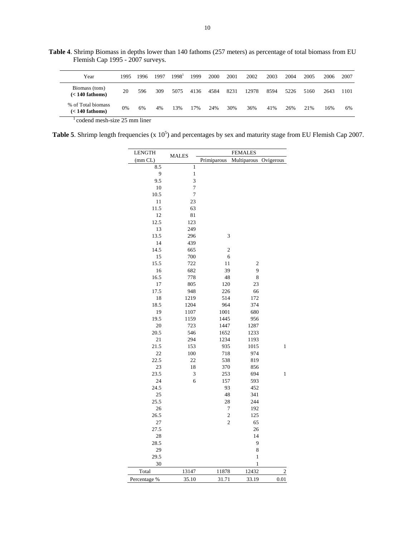**Table 4**. Shrimp Biomass in depths lower than 140 fathoms (257 meters) as percentage of total biomass from EU Flemish Cap 1995 - 2007 surveys.

| Year                                    | 1995          | 1996         | 1997 | 1998 <sup>1</sup> | 1999 | 2000 | 2001 | 2002  | 2003 | 2004 | 2005 | 2006 | 2007 |
|-----------------------------------------|---------------|--------------|------|-------------------|------|------|------|-------|------|------|------|------|------|
| Biomass (tons)<br>$(< 140$ fathoms)     | 20            | 596          | 309  | 5075              | 4136 | 4584 | 8231 | 12978 | 8594 | 5226 | 5160 | 2643 | 1101 |
| % of Total biomass<br>$(< 140$ fathoms) | 0%            | 6%           | 4%   | 13%               | 17%  | 24%  | 30%  | 36%   | 41%  | 26%  | 21%  | 16%  | 6%   |
|                                         | $\sim$ $\sim$ | $\mathbf{r}$ |      |                   |      |      |      |       |      |      |      |      |      |

 $1$  codend mesh-size 25 mm liner

**Table 5.** Shrimp length frequencies  $(x 10^5)$  and percentages by sex and maturity stage from EU Flemish Cap 2007.

| <b>LENGTH</b> |              | <b>FEMALES</b> |                |                         |  |  |  |  |  |  |  |  |
|---------------|--------------|----------------|----------------|-------------------------|--|--|--|--|--|--|--|--|
| (mm CL)       | <b>MALES</b> | Primiparous    | Multiparous    | Ovigerous               |  |  |  |  |  |  |  |  |
| 8.5           | $\mathbf{1}$ |                |                |                         |  |  |  |  |  |  |  |  |
| 9             | $\,1$        |                |                |                         |  |  |  |  |  |  |  |  |
| 9.5           | 3            |                |                |                         |  |  |  |  |  |  |  |  |
| 10            | $\tau$       |                |                |                         |  |  |  |  |  |  |  |  |
| 10.5          | $\tau$       |                |                |                         |  |  |  |  |  |  |  |  |
| 11            | 23           |                |                |                         |  |  |  |  |  |  |  |  |
| 11.5          | 63           |                |                |                         |  |  |  |  |  |  |  |  |
| 12            | 81           |                |                |                         |  |  |  |  |  |  |  |  |
| 12.5          | 123          |                |                |                         |  |  |  |  |  |  |  |  |
| 13            | 249          |                |                |                         |  |  |  |  |  |  |  |  |
| 13.5          | 296          | 3              |                |                         |  |  |  |  |  |  |  |  |
| 14            | 439          |                |                |                         |  |  |  |  |  |  |  |  |
| 14.5          | 665          | $\mathfrak{2}$ |                |                         |  |  |  |  |  |  |  |  |
| 15            | 700          | 6              |                |                         |  |  |  |  |  |  |  |  |
| 15.5          | 722          | 11             | $\mathfrak{2}$ |                         |  |  |  |  |  |  |  |  |
| 16            | 682          | 39             | 9              |                         |  |  |  |  |  |  |  |  |
| 16.5          | 778          | 48             | 8              |                         |  |  |  |  |  |  |  |  |
| 17            | 805          | 120            | 23             |                         |  |  |  |  |  |  |  |  |
| 17.5          | 948          | 226            | 66             |                         |  |  |  |  |  |  |  |  |
| 18            | 1219         | 514            | 172            |                         |  |  |  |  |  |  |  |  |
| 18.5          | 1204         | 964            | 374            |                         |  |  |  |  |  |  |  |  |
| 19            | 1107         | 1001           | 680            |                         |  |  |  |  |  |  |  |  |
| 19.5          | 1159         | 1445           | 956            |                         |  |  |  |  |  |  |  |  |
| 20            | 723          | 1447           | 1287           |                         |  |  |  |  |  |  |  |  |
| 20.5          | 546          | 1652           | 1233           |                         |  |  |  |  |  |  |  |  |
| 21            | 294          | 1234           | 1193           |                         |  |  |  |  |  |  |  |  |
| 21.5          | 153          | 935            | 1015           | $\mathbf{1}$            |  |  |  |  |  |  |  |  |
| 22            | 100          | 718            | 974            |                         |  |  |  |  |  |  |  |  |
| 22.5          | 22           | 538            | 819            |                         |  |  |  |  |  |  |  |  |
| 23            | 18           | 370            | 856            |                         |  |  |  |  |  |  |  |  |
| 23.5          | 3            | 253            | 694            | $\mathbf{1}$            |  |  |  |  |  |  |  |  |
| 24            | 6            | 157            | 593            |                         |  |  |  |  |  |  |  |  |
| 24.5          |              | 93             | 452            |                         |  |  |  |  |  |  |  |  |
| 25            |              | 48             | 341            |                         |  |  |  |  |  |  |  |  |
| 25.5          |              | 28             | 244            |                         |  |  |  |  |  |  |  |  |
| 26            |              | 7              | 192            |                         |  |  |  |  |  |  |  |  |
| 26.5          |              | $\overline{c}$ | 125            |                         |  |  |  |  |  |  |  |  |
| 27            |              | $\overline{c}$ | 65             |                         |  |  |  |  |  |  |  |  |
| 27.5          |              |                | 26             |                         |  |  |  |  |  |  |  |  |
| 28            |              |                | 14             |                         |  |  |  |  |  |  |  |  |
| 28.5          |              |                | 9              |                         |  |  |  |  |  |  |  |  |
| 29            |              |                | 8              |                         |  |  |  |  |  |  |  |  |
| 29.5          |              |                | $\,1$          |                         |  |  |  |  |  |  |  |  |
| 30            |              |                | $\mathbf{1}$   |                         |  |  |  |  |  |  |  |  |
| Total         | 13147        | 11878          | 12432          | $\overline{\mathbf{c}}$ |  |  |  |  |  |  |  |  |
| Percentage %  | 35.10        | 31.71          | 33.19          | 0.01                    |  |  |  |  |  |  |  |  |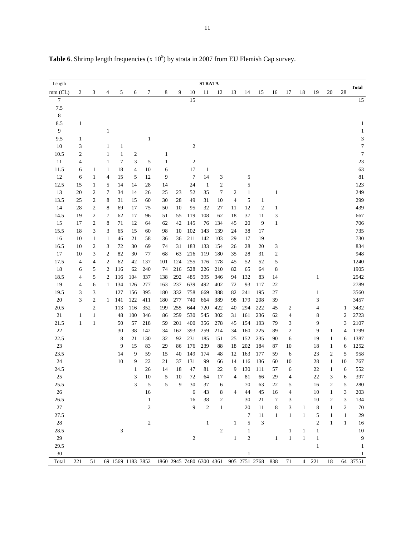| Length         |                         |                  |                  |                             |                  |                |                                            |          |                | <b>STRATA</b>  |                  |                |                |                             |                  |                |                |                |                            |                |                             |
|----------------|-------------------------|------------------|------------------|-----------------------------|------------------|----------------|--------------------------------------------|----------|----------------|----------------|------------------|----------------|----------------|-----------------------------|------------------|----------------|----------------|----------------|----------------------------|----------------|-----------------------------|
| $mm$ (CL)      | $\mathfrak{2}$          | 3                | 4                | 5                           | 6                | 7              | 8                                          | 9        | 10             | 11             | 12               | 13             | 14             | 15                          | 16               | 17             | 18             | 19             | 20                         | 28             | <b>Total</b>                |
| $\overline{7}$ |                         |                  |                  |                             |                  |                |                                            |          | 15             |                |                  |                |                |                             |                  |                |                |                |                            |                | 15                          |
| 7.5            |                         |                  |                  |                             |                  |                |                                            |          |                |                |                  |                |                |                             |                  |                |                |                |                            |                |                             |
| 8              |                         |                  |                  |                             |                  |                |                                            |          |                |                |                  |                |                |                             |                  |                |                |                |                            |                |                             |
| 8.5            | $\mathbf{1}$            |                  |                  |                             |                  |                |                                            |          |                |                |                  |                |                |                             |                  |                |                |                |                            |                | $\mathbf{1}$                |
| 9              |                         |                  | 1                |                             |                  |                |                                            |          |                |                |                  |                |                |                             |                  |                |                |                |                            |                | $\mathbf{1}$                |
| 9.5            | $\mathbf{1}$            |                  |                  |                             |                  | $\mathbf{1}$   |                                            |          |                |                |                  |                |                |                             |                  |                |                |                |                            |                | $\ensuremath{\mathfrak{Z}}$ |
| $10\,$         | 3                       |                  | 1                | $\mathbf{1}$                |                  |                |                                            |          | $\sqrt{2}$     |                |                  |                |                |                             |                  |                |                |                |                            |                | $\boldsymbol{7}$            |
| 10.5           | $\overline{\mathbf{c}}$ |                  | $\,1$            | $\mathbf{1}$                | $\boldsymbol{2}$ |                | $\mathbf{1}$                               |          |                |                |                  |                |                |                             |                  |                |                |                |                            |                | $\tau$                      |
| 11             | 4                       |                  | $\mathbf{1}$     | $\tau$                      | 3                | 5              | $\mathbf{1}$                               |          | $\mathfrak{2}$ |                |                  |                |                |                             |                  |                |                |                |                            |                | 23                          |
| 11.5           | 6                       | $\mathbf{1}$     | $\mathbf{1}$     | 18                          | $\overline{4}$   | 10             | 6                                          |          | 17             | $\mathbf{1}$   |                  |                |                |                             |                  |                |                |                |                            |                | 63                          |
| 12             | 6                       | $\mathbf{1}$     | 4                | 15                          | 5                | 12             | 9                                          |          | $\tau$         | 14             | 3                |                | 5              |                             |                  |                |                |                |                            |                | 81                          |
| 12.5           | 15                      | $\mathbf{1}$     | 5                | 14                          | 14               | 28             | 14                                         |          | 24             | $\mathbf{1}$   | $\boldsymbol{2}$ |                | 5              |                             |                  |                |                |                |                            |                | 123                         |
| 13             | 20                      | 2                | 7                | 34                          | 14               | 26             | 25                                         | 23       | 52             | 35             | 7                | 2              | $\mathbf{1}$   |                             | $\mathbf{1}$     |                |                |                |                            |                | 249                         |
| 13.5           | 25                      | $\boldsymbol{2}$ | 8                | 31                          | 15               | 60             | 30                                         | 28       | 49             | 31             | 10               | $\overline{4}$ | 5              | $\mathbf{1}$                |                  |                |                |                |                            |                | 299                         |
| 14             | 28                      | $\boldsymbol{2}$ | 8                | 69                          | 17               | 75             | 50                                         | 10       | 95             | 32             | 27               | 11             | 12             | $\boldsymbol{2}$            | $\mathbf{1}$     |                |                |                |                            |                | 439                         |
| 14.5           | 19                      | $\sqrt{2}$       | 7                | 62                          | 17               | 96             | 51                                         | 55       | 119            | 108            | 62               | 18             | 37             | 11                          | 3                |                |                |                |                            |                | 667                         |
| 15             | 17                      | $\boldsymbol{2}$ | 8                | 71                          | 12               | 64             | 62                                         | 42       | 145            | 76             | 134              | 45             | 20             | 9                           | $\,1\,$          |                |                |                |                            |                | 706                         |
| 15.5           | 18                      | 3                | 3                | 65                          | 15               | 60             | 98                                         | 10       | 102            | 143            | 139              | 24             | 38             | 17                          |                  |                |                |                |                            |                | 735                         |
| 16             | 10                      | $\mathbf{1}$     | 1                | 46                          | 21               | 58             | 36                                         | 36       | 211            | 142            | 103              | 29             | 17             | 19                          |                  |                |                |                |                            |                | 730                         |
| 16.5           | 10                      | 2                | 3                | 72                          | 30               | 69             | 74                                         | 31       | 183            | 133            | 154              | 26             | 28             | 20                          | 3                |                |                |                |                            |                | 834                         |
| 17             | 10                      | 3                | $\boldsymbol{2}$ | 82                          | 30               | 77             | 68                                         | 63       | 216            | 119            | 180              | 35             | 28             | 31                          | $\boldsymbol{2}$ |                |                |                |                            |                | 948                         |
| 17.5           | 4                       | 4                | $\boldsymbol{2}$ | 62                          | 42               | 137            | 101                                        | 124      | 255            | 176            | 178              | 45             | 52             | 52                          | 5                |                |                |                |                            |                | 1240                        |
| 18             | 6                       | 5                | $\boldsymbol{2}$ | 116                         | 62               | 240            | 74                                         | 216      | 528            | 226            | 210              | 82             | 65             | 64                          | 8                |                |                |                |                            |                | 1905                        |
| 18.5           | 4                       | 5                | $\boldsymbol{2}$ | 116                         | 104              | 337            | 138                                        | 292      | 485            | 395            | 346              | 94             | 132            | 83                          | 14               |                |                | $\mathbf{1}$   |                            |                | 2542                        |
| 19             | 4                       | 6                | $\mathbf{1}$     | 134                         | 126              | 277            | 163                                        | 237      | 639            | 492            | 402              | 72             | 93             | 117                         | 22               |                |                |                |                            |                | 2789                        |
| 19.5           | 3                       | 3                |                  | 127                         | 156              | 395            | 180                                        | 332      | 758            | 669            | 388              | 82             | 241            | 195                         | 27               |                |                | $\mathbf{1}$   |                            |                | 3560                        |
| 20             | 3                       | $\overline{2}$   | $\mathbf{1}$     | 141                         | 122              | 411            | 180                                        | 277      | 740            | 664            | 389              | 98             | 179            | 208                         | 39               |                |                | 3              |                            |                | 3457                        |
| 20.5           |                         | $\overline{2}$   |                  | 113                         | 116              | 352            | 199                                        | 255      | 644            | 720            | 422              | 40             | 294            | 222                         | 45               | $\overline{c}$ |                | 4              |                            | 1              | 3432                        |
| 21             | $\mathbf{1}$            | $\mathbf{1}$     |                  | 48                          | 100              | 346            | 86                                         | 259      | 530            | 545            | 302              | 31             | 161            | 236                         | 62               | 4              |                | 8              |                            | $\overline{2}$ | 2723                        |
| 21.5           | $\mathbf{1}$            | $1\,$            |                  | 50                          | 57               | 218            | 59                                         | 201      | 400            | 356            | 278              | 45             | 154            | 193                         | 79               | 3              |                | 9              |                            | 3              | 2107                        |
| $22\,$         |                         |                  |                  | 30                          | 38               | 142            | 34                                         | 162      | 393            | 259            | 214              | 34             | 160            | 225                         | 89               | 2              |                | 9              | $\mathbf{1}$               | $\overline{4}$ | 1799                        |
| 22.5<br>$23\,$ |                         |                  |                  | 8                           | 21<br>15         | 130<br>83      | 32                                         | 92<br>86 | 231<br>176     | 185<br>239     | 151              | 25<br>18       | 152<br>202     | 235<br>184                  | 90<br>87         | 6<br>10        |                | 19<br>18       | $\mathbf{1}$               | 6              | 1387                        |
| 23.5           |                         |                  |                  | 9<br>14                     |                  | 59             | 29<br>15                                   | 40       | 149            | 174            | $88\,$<br>48     | 12             | 163            | 177                         | 59               |                |                | 23             | $\mathbf{1}$<br>$\sqrt{2}$ | 6<br>5         | 1252<br>958                 |
| 24             |                         |                  |                  | 10                          | 9<br>9           | 22             | 21                                         | 37       | 131            | 99             | 66               | 14             | 116            | 136                         | 60               | 6<br>10        |                | 28             | $\mathbf{1}$               | 10             | 767                         |
| 24.5           |                         |                  |                  |                             | $\mathbf{1}$     | 26             | 14                                         | 18       | 47             | 81             | 22               | 9              | 130            | 111                         | 57               | 6              |                | 22             | $\mathbf{1}$               | 6              | 552                         |
| $25\,$         |                         |                  |                  |                             | 3                | 10             | 5                                          | 10       | 72             | 64             | 17               | 4              | 81             | 66                          | 29               | 4              |                | 22             | 3                          | 6              | 397                         |
| 25.5           |                         |                  |                  |                             | 3                | 5              | 5                                          | 9        | 30             | 37             | 6                |                | 70             | 63                          | 22               | 5              |                | 16             | $\overline{\mathbf{c}}$    | 5              | 280                         |
| $26\,$         |                         |                  |                  |                             |                  | 16             |                                            |          | 6              | 43             | 8                | 4              | 44             | 45                          | 16               | 4              |                | 10             | $\mathbf{1}$               | 3              | 203                         |
| 26.5           |                         |                  |                  |                             |                  | $\mathbf{1}$   |                                            |          | 16             | 38             | 2                |                | 30             | 21                          | 7                | 3              |                | 10             | 2                          | 3              | 134                         |
| $27\,$         |                         |                  |                  |                             |                  | $\mathfrak{2}$ |                                            |          | 9              | $\mathfrak{2}$ | $\mathbf{1}$     |                | 20             | 11                          | 8                | 3              | 1              | 8              | $\mathbf{1}$               | $\overline{c}$ | 70                          |
| 27.5           |                         |                  |                  |                             |                  |                |                                            |          |                |                |                  |                | 7              | 11                          | $\mathbf{1}$     | $\mathbf{1}$   | $\mathbf{1}$   | 5              | $\mathbf{1}$               | $\mathbf{1}$   | 29                          |
| $28\,$         |                         |                  |                  |                             |                  | 2              |                                            |          |                | $\mathbf{1}$   |                  | $\mathbf{1}$   | 5              | $\ensuremath{\mathfrak{Z}}$ |                  |                |                | $\overline{c}$ | $\mathbf{1}$               | $\mathbf{1}$   | 16                          |
| 28.5           |                         |                  |                  | $\ensuremath{\mathfrak{Z}}$ |                  |                |                                            |          |                |                | $\sqrt{2}$       |                | $\mathbf{1}$   |                             |                  | $\mathbf{1}$   | $\mathbf{1}$   | $\mathbf{1}$   |                            |                | 10                          |
| 29             |                         |                  |                  |                             |                  |                |                                            |          | $\overline{c}$ |                |                  | $\mathbf{1}$   | $\mathfrak{2}$ |                             | $\,1$            | $\mathbf{1}$   | $\mathbf{1}$   | $\mathbf{1}$   |                            |                | 9                           |
| 29.5           |                         |                  |                  |                             |                  |                |                                            |          |                |                |                  |                |                |                             |                  |                |                | $\mathbf{1}$   |                            |                | 1                           |
| $30\,$         |                         |                  |                  |                             |                  |                |                                            |          |                |                |                  |                | $\mathbf{1}$   |                             |                  |                |                |                |                            |                | 1                           |
| Total          | 221                     | 51               |                  |                             |                  |                | 69 1569 1183 3852 1860 2945 7480 6300 4361 |          |                |                |                  |                | 905 2751 2768  |                             | 838              | $71\,$         | $\overline{4}$ | 221            | $18\,$                     |                | 64 37551                    |

**Table 6.** Shrimp length frequencies  $(x 10^5)$  by strata in 2007 from EU Flemish Cap survey.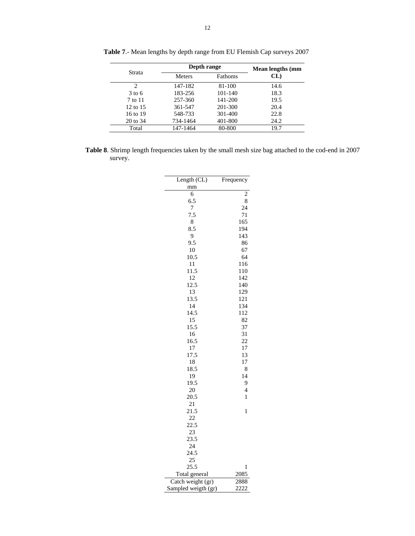|                             | Depth range   | Mean lengths (mm |      |
|-----------------------------|---------------|------------------|------|
| Strata                      | <b>Meters</b> | Fathoms          | CL   |
| $\mathcal{D}_{\mathcal{A}}$ | 147-182       | 81-100           | 14.6 |
| $3 \text{ to } 6$           | 183-256       | 101-140          | 18.3 |
| 7 to 11                     | 257-360       | 141-200          | 19.5 |
| $12 \text{ to } 15$         | 361-547       | 201-300          | 20.4 |
| 16 to 19                    | 548-733       | 301-400          | 22.8 |
| 20 to 34                    | 734-1464      | 401-800          | 24.2 |
| Total                       | 147-1464      | 80-800           | 19.7 |

**Table 7**.- Mean lengths by depth range from EU Flemish Cap surveys 2007

**Table 8**. Shrimp length frequencies taken by the small mesh size bag attached to the cod-end in 2007 survey.

| Length (CL)         | Frequency      |
|---------------------|----------------|
| mm                  |                |
| 6                   | $\overline{c}$ |
| 6.5                 | 8              |
| 7                   | 24             |
| 7.5                 | 71             |
| 8                   | 165            |
| 8.5                 | 194            |
| 9                   | 143            |
| 9.5                 | 86             |
| 10                  | 67             |
| 10.5                | 64             |
| 11                  | 116            |
| 11.5                | 110            |
| 12                  | 142            |
| 12.5                | 140            |
| 13                  | 129            |
| 13.5                | 121            |
| 14                  | 134            |
| 14.5                | 112            |
| 15                  | 82             |
| 15.5                | 37             |
| 16                  | 31             |
| 16.5                | 22             |
| 17                  | 17             |
| 17.5                | 13             |
| 18                  | 17             |
| 18.5                | 8              |
| 19                  | 14             |
| 19.5                | 9              |
| 20                  | $\overline{4}$ |
| 20.5                | $\mathbf{1}$   |
| 21                  |                |
| 21.5                | 1              |
| 22                  |                |
| 22.5                |                |
| 23                  |                |
| 23.5                |                |
| 24                  |                |
| 24.5<br>25          |                |
|                     |                |
| 25.5                | 1              |
| Total general       | 2085           |
| Catch weight (gr)   | 2888           |
| Sampled weigth (gr) | 2222           |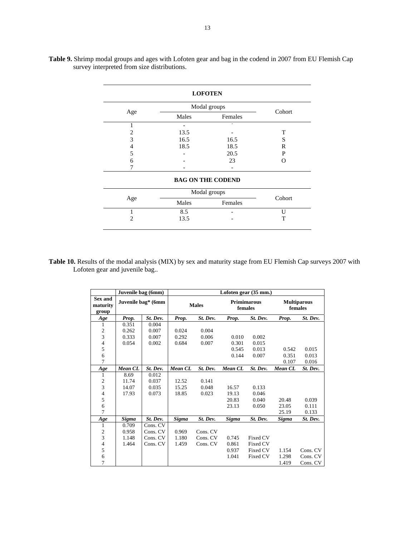|                |              | <b>LOFOTEN</b>           |        |
|----------------|--------------|--------------------------|--------|
|                | Modal groups | Cohort                   |        |
| Age            | Males        | Females                  |        |
| 1              |              | ٠                        |        |
| 2              | 13.5         |                          | T      |
| 3              | 16.5         | 16.5                     | S      |
| 4              | 18.5         | 18.5                     | R      |
| 5              |              | 20.5                     | P      |
| 6              |              | 23                       | O      |
|                |              |                          |        |
|                |              | <b>BAG ON THE CODEND</b> |        |
|                |              | Modal groups             |        |
| Age            | Males        | Females                  | Cohort |
|                | 8.5          |                          | U      |
| $\overline{c}$ | 13.5         |                          | T      |

**Table 9.** Shrimp modal groups and ages with Lofoten gear and bag in the codend in 2007 from EU Flemish Cap survey interpreted from size distributions.

Table 10. Results of the modal analysis (MIX) by sex and maturity stage from EU Flemish Cap surveys 2007 with Lofoten gear and juvenile bag..

|                              | Juvenile bag (6mm)  |                    |         |              |         | Lofoten gear (35 mm.)         |              |                               |
|------------------------------|---------------------|--------------------|---------|--------------|---------|-------------------------------|--------------|-------------------------------|
| Sex and<br>maturity<br>group |                     | Juvenile bag* (6mm |         | <b>Males</b> |         | <b>Primimarous</b><br>females |              | <b>Multiparous</b><br>females |
| Age                          | Prop.               | St. Dev.           | Prop.   | St. Dev.     | Prop.   | St. Dev.                      | Prop.        | St. Dev.                      |
| 1                            | 0.351               | 0.004              |         |              |         |                               |              |                               |
| $\overline{\mathbf{c}}$      | 0.262               | 0.007              | 0.024   | 0.004        |         |                               |              |                               |
| 3                            | 0.333               | 0.007              | 0.292   | 0.006        | 0.010   | 0.002                         |              |                               |
| $\overline{\mathcal{L}}$     | 0.054               | 0.002              | 0.684   | 0.007        | 0.301   | 0.015                         |              |                               |
| 5                            |                     |                    |         |              | 0.545   | 0.013                         | 0.542        | 0.015                         |
| 6                            |                     |                    |         |              | 0.144   | 0.007                         | 0.351        | 0.013                         |
| 7                            |                     |                    |         |              |         |                               | 0.107        | 0.016                         |
| Age                          | Mean CL<br>St. Dev. |                    | Mean CL | St. Dev.     | Mean CL | St. Dev.                      | Mean CL      | St. Dev.                      |
| 1                            | 8.69                | 0.012              |         |              |         |                               |              |                               |
|                              | 11.74               | 0.037              | 12.52   | 0.141        |         |                               |              |                               |
| $\frac{2}{3}$                | 14.07               | 0.035              | 15.25   | 0.048        | 16.57   | 0.133                         |              |                               |
| $\overline{\mathcal{L}}$     | 17.93               | 0.073              | 18.85   | 0.023        | 19.13   | 0.046                         |              |                               |
| 5                            |                     |                    |         |              | 20.83   | 0.040                         | 20.48        | 0.039                         |
| 6                            |                     |                    |         |              | 23.13   | 0.050                         | 23.05        | 0.111                         |
| 7                            |                     |                    |         |              |         |                               | 25.19        | 0.133                         |
| Age                          | Sigma               | St. Dev.           | Sigma   | St. Dev.     | Sigma   | St. Dev.                      | <b>Sigma</b> | St. Dev.                      |
| 1                            | 0.709               | Cons. CV           |         |              |         |                               |              |                               |
|                              | 0.958               | Cons. CV           | 0.969   | Cons. CV     |         |                               |              |                               |
| $\frac{2}{3}$                | 1.148               | Cons. CV           | 1.180   | Cons. CV     | 0.745   | Fixed CV                      |              |                               |
| $\overline{\mathcal{L}}$     | 1.464               | Cons. CV           | 1.459   | Cons. CV     | 0.861   | Fixed CV                      |              |                               |
| 5                            |                     |                    |         |              | 0.937   | Fixed CV                      | 1.154        | Cons. CV                      |
| 6                            |                     |                    |         |              | 1.041   | Fixed CV                      | 1.298        | Cons. CV                      |
|                              |                     |                    |         |              |         |                               |              |                               |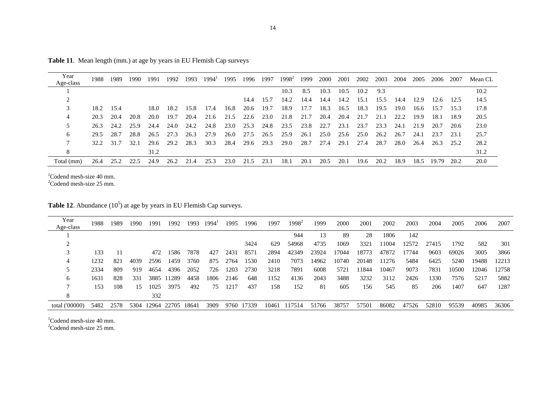| Year       | 1988      | 1989 | 1990 | 1991 | 1992 | 1993 | $1994^1$ | 1995 | 1996 | 1997   | $1998^2$ | 1999 | 2000 | 2001 | 2002 | 2003 | 2004 | 2005 | 2006  | 2007 | Mean CL |
|------------|-----------|------|------|------|------|------|----------|------|------|--------|----------|------|------|------|------|------|------|------|-------|------|---------|
| Age-class  |           |      |      |      |      |      |          |      |      |        |          |      |      |      |      |      |      |      |       |      |         |
|            |           |      |      |      |      |      |          |      |      |        | 10.3     | 8.5  | 10.3 | 10.5 | 10.2 | 9.3  |      |      |       |      | 10.2    |
|            |           |      |      |      |      |      |          |      | 14.4 | - 15.7 | 14.2     | 14.4 | 14.4 | 14.2 | 15.1 | 15.5 | 14.4 | 12.9 | 12.6  | 12.5 | 14.5    |
| 3          | 18.2 15.4 |      |      | 18.0 | 18.2 | 15.8 | 17.4     | 16.8 | 20.6 | 19.7   | 18.9     | 17.7 | 18.3 | 16.5 | 18.3 | 19.5 | 19.0 | 16.6 | 15.7  | 15.3 | 17.8    |
| 4          | 20.3      | 20.4 | 20.8 | 20.0 | 19.7 | 20.4 | 21.6     | 21.5 | 22.6 | 23.0   | 21.8     | 21.7 | 20.4 | 20.4 | 21.7 | 21.1 | 22.2 | 19.9 | 18.1  | 18.9 | 20.5    |
| 5.         | 26.3      | 24.2 | 25.9 | 24.4 | 24.0 | 24.2 | 24.8     | 23.0 | 25.3 | 24.8   | 23.5     | 23.8 | 22.7 | 23.1 | 23.7 | 23.3 | 24.1 | 21.9 | 20.7  | 20.6 | 23.0    |
| 6          | 29.5      | 28.7 | 28.8 | 26.5 | 27.3 | 26.3 | 27.9     | 26.0 | 27.5 | 26.5   | 25.9     | 26.1 | 25.0 | 25.6 | 25.0 | 26.2 | 26.7 | 24.1 | 23.7  | 23.1 | 25.7    |
|            | 32.2      | 31.7 | 32.1 | 29.6 | 29.2 | 28.3 | 30.3     | 28.4 | 29.6 | 29.3   | 29.0     | 28.7 | 27.4 | 29.1 | 27.4 | 28.7 | 28.0 | 26.4 | 26.3  | 25.2 | 28.2    |
| 8          |           |      |      | 31.2 |      |      |          |      |      |        |          |      |      |      |      |      |      |      |       |      | 31.2    |
| Total (mm) | 26.4      | 25.2 | 22.5 | 24.9 | 26.2 | 21.4 | 25.3     | 23.0 | 21.5 | 23.1   | 18.1     | 20.1 | 20.5 | 20.1 | 19.6 | 20.2 | 18.9 | 18.5 | 19.79 | 20.2 | 20.0    |

**Table 11**. Mean length (mm.) at age by years in EU Flemish Cap surveys

 $1$ Codend mesh-size 40 mm.

 $2^2$ Codend mesh-size 25 mm.

**Table 12**. Abundance  $(10^5)$  at age by years in EU Flemish Cap surveys.

| Year           | 1988. | 1989 | 1990 | 1991 | 1992              | 1993 | 1994 | 1995 | 1996  | 1997  | $1998^2$ | 1999  | 2000  | 2001  | 2002  | 2003  | 2004  | 2005  | 2006  | 2007  |
|----------------|-------|------|------|------|-------------------|------|------|------|-------|-------|----------|-------|-------|-------|-------|-------|-------|-------|-------|-------|
| Age-class      |       |      |      |      |                   |      |      |      |       |       |          |       |       |       |       |       |       |       |       |       |
|                |       |      |      |      |                   |      |      |      |       |       | 944      | 13    | 89    | 28    | 1806  | 142   |       |       |       |       |
|                |       |      |      |      |                   |      |      |      | 3424  | 629   | 54968    | 4735  | 1069  | 3321  | 11004 | 12572 | 27415 | 1792  | 582   | 301   |
|                | 133   |      |      | 472  | 1586              | 7878 | 427  | 2431 | 8571  | 2894  | 42349    | 23924 | 17044 | 18773 | 47872 | 17744 | 9603  | 69026 | 3005  | 3866  |
|                | 1232  | 821  | 4039 | 2596 | 1459              | 3760 | 875  | 2764 | 1530  | 2410  | 7073     | 14962 | 10740 | 20148 | 11276 | 5484  | 6425  | 5240  | 19488 | 12213 |
|                | 2334  | 809  | 919  | 4654 | 4396              | 2052 | 726  | 1203 | 2730  | 3218  | 7891     | 6008  | 5721  | 11844 | 10467 | 9073  | 7831  | 10500 | 12046 | 12758 |
| 6              | 1631  | 828  | 331  | 3885 | 11289             | 4458 | 1806 | 2146 | 648   | 1152  | 4136     | 2043  | 3488  | 3232  | 3112  | 2426  | 1330  | 7576  | 5217  | 5882  |
|                | 153   | 108  | 15   | 1025 | 3975              | 492  | 75   | 1217 | 437   | 158   | 152      | 81    | 605   | 156   | 545   | 85    | 206   | 1407  | 647   | 1287  |
| 8              |       |      |      | 332  |                   |      |      |      |       |       |          |       |       |       |       |       |       |       |       |       |
| total ('00000) | 5482  | 2578 | 5304 |      | 12964 22705 18641 |      | 3909 | 9760 | 17339 | 10461 | 117514   | 51766 | 38757 | 57501 | 86082 | 47526 | 52810 | 95539 | 40985 | 36306 |

 $1$ Codend mesh-size 40 mm.

2Codend mesh-size 25 mm.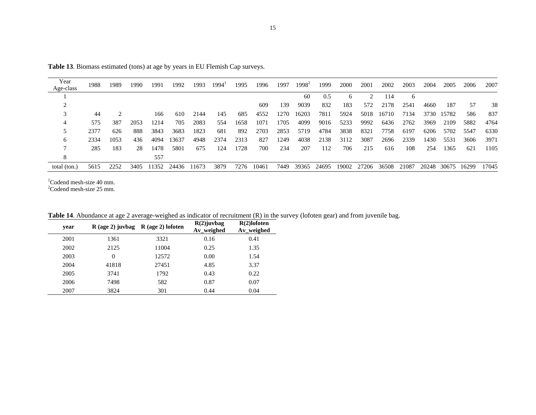| Year         | 1988 | 1989 | 1990 | 1991  | 1992  | 1993  | 1994' | 1995 | 1996  | 1997 | $1998^2$ | 1999  | 2000  | 2001  | 2002  | 2003  | 2004  | 2005  | 2006  | 2007  |
|--------------|------|------|------|-------|-------|-------|-------|------|-------|------|----------|-------|-------|-------|-------|-------|-------|-------|-------|-------|
| Age-class    |      |      |      |       |       |       |       |      |       |      |          |       |       |       |       |       |       |       |       |       |
|              |      |      |      |       |       |       |       |      |       |      | 60       | 0.5   | 6     |       | 114   | 6     |       |       |       |       |
|              |      |      |      |       |       |       |       |      | 609   | 139  | 9039     | 832   | 183   | 572   | 2178  | 2541  | 4660  | 187   | 57    | 38    |
|              | 44   |      |      | 166   | 610   | 2144  | 145   | 685  | 4552  | 1270 | 16203    | 7811  | 5924  | 5018  | 16710 | 7134  | 3730  | 15782 | 586   | 837   |
|              | 575  | 387  | 2053 | 1214  | 705   | 2083  | 554   | 1658 | 1071  | 1705 | 4099     | 9016  | 5233  | 9992  | 6436  | 2762  | 3969  | 2109  | 5882  | 4764  |
|              | 2377 | 626  | 888  | 3843  | 3683  | 1823  | 681   | 892  | 2703  | 2853 | 5719     | 4784  | 3838  | 8321  | 7758  | 6197  | 6206  | 5702  | 5547  | 6330  |
| 6            | 2334 | 1053 | 436  | 4094  | 13637 | 4948  | 2374  | 2313 | 827   | 1249 | 4038     | 2138  | 3112  | 3087  | 2696  | 2339  | 1430  | 5531  | 3606  | 3971  |
|              | 285  | 183  | 28   | 1478  | 5801  | 675   | 124   | 1728 | 700   | 234  | 207      | 112   | 706   | 215   | 616   | 108   | 254   | 1365  | 621   | 1105  |
| 8            |      |      |      | 557   |       |       |       |      |       |      |          |       |       |       |       |       |       |       |       |       |
| total (ton.) | 5615 | 2252 | 3405 | 11352 | 24436 | 11673 | 3879  | 7276 | 10461 | 7449 | 39365    | 24695 | 19002 | 27206 | 36508 | 21087 | 20248 | 30675 | 16299 | 17045 |

**Table 13**. Biomass estimated (tons) at age by years in EU Flemish Cap surveys.

 $1$ Codend mesh-size 40 mm.<br>  $2$ Codend mesh-size 25 mm.

| year | $R$ (age 2) juvbag | $R$ (age 2) lofoten | $R(2)$ juvbag<br>Av_weighed | $R(2)$ lofoten<br>Av_weighed |  |  |
|------|--------------------|---------------------|-----------------------------|------------------------------|--|--|
| 2001 | 1361               | 3321                | 0.16                        | 0.41                         |  |  |
| 2002 | 2125               | 11004               | 0.25                        | 1.35                         |  |  |
| 2003 | $\theta$           | 12572               | 0.00                        | 1.54                         |  |  |
| 2004 | 41818              | 27451               | 4.85                        | 3.37                         |  |  |
| 2005 | 3741               | 1792                | 0.43                        | 0.22                         |  |  |
| 2006 | 7498               | 582                 | 0.87                        | 0.07                         |  |  |
| 2007 | 3824               | 301                 | 0.44                        | 0.04                         |  |  |

**Table 14**. Abundance at age 2 average-weighed as indicator of recruitment (R) in the survey (lofoten gear) and from juvenile bag.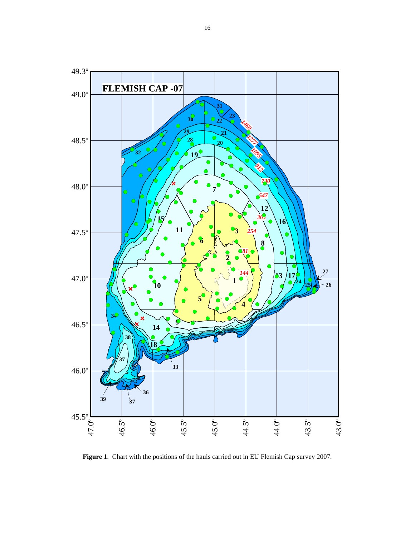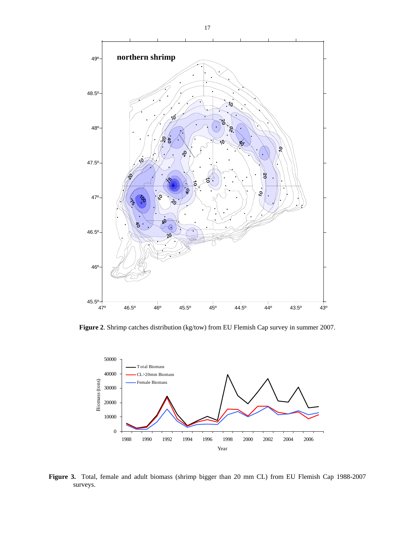

**Figure 2**. Shrimp catches distribution (kg/tow) from EU Flemish Cap survey in summer 2007.



**Figure 3.** Total, female and adult biomass (shrimp bigger than 20 mm CL) from EU Flemish Cap 1988-2007 surveys.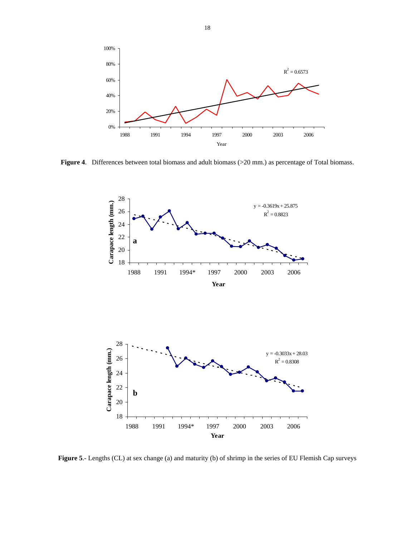

**Figure 4**. Differences between total biomass and adult biomass (>20 mm.) as percentage of Total biomass.



**Figure 5**.- Lengths (CL) at sex change (a) and maturity (b) of shrimp in the series of EU Flemish Cap surveys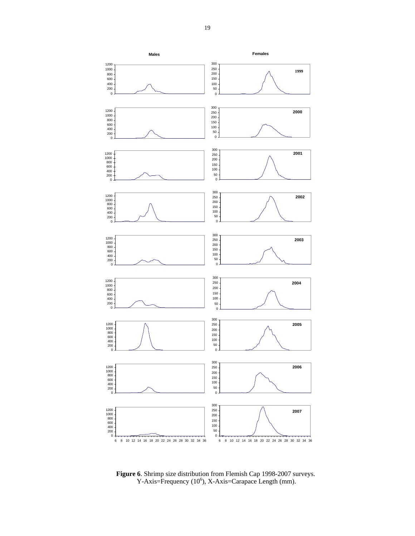

**Figure 6**. Shrimp size distribution from Flemish Cap 1998-2007 surveys.  $Y-Axis = Frequency (10<sup>6</sup>), X-Axis = Carapace Length (mm).$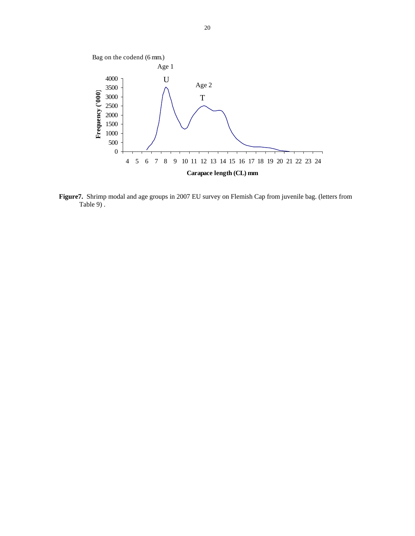

 **Figure7.** Shrimp modal and age groups in 2007 EU survey on Flemish Cap from juvenile bag. (letters from Table 9) .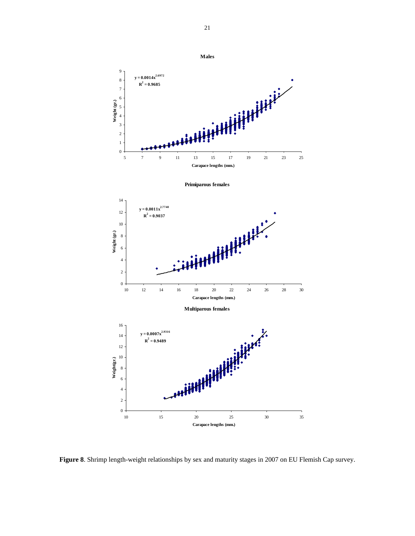

**Figure 8**. Shrimp length-weight relationships by sex and maturity stages in 2007 on EU Flemish Cap survey.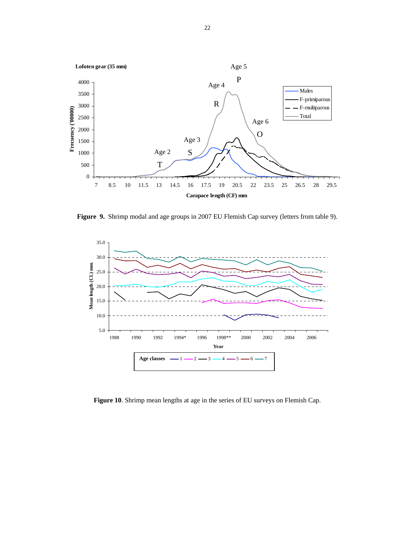

**Figure 9.** Shrimp modal and age groups in 2007 EU Flemish Cap survey (letters from table 9).



**Figure 10**. Shrimp mean lengths at age in the series of EU surveys on Flemish Cap.